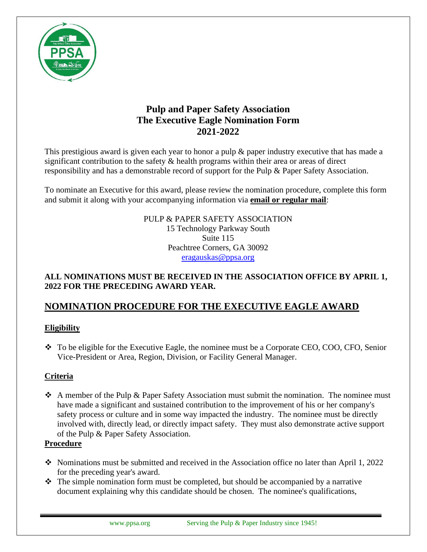

## **Pulp and Paper Safety Association The Executive Eagle Nomination Form 2021-2022**

This prestigious award is given each year to honor a pulp & paper industry executive that has made a significant contribution to the safety & health programs within their area or areas of direct responsibility and has a demonstrable record of support for the Pulp & Paper Safety Association.

To nominate an Executive for this award, please review the nomination procedure, complete this form and submit it along with your accompanying information via **email or regular mail**:

> PULP & PAPER SAFETY ASSOCIATION 15 Technology Parkway South Suite 115 Peachtree Corners, GA 30092 eragauskas@ppsa.org

#### **ALL NOMINATIONS MUST BE RECEIVED IN THE ASSOCIATION OFFICE BY APRIL 1, 2022 FOR THE PRECEDING AWARD YEAR.**

# **NOMINATION PROCEDURE FOR THE EXECUTIVE EAGLE AWARD**

### **Eligibility**

❖ To be eligible for the Executive Eagle, the nominee must be a Corporate CEO, COO, CFO, Senior Vice-President or Area, Region, Division, or Facility General Manager.

### **Criteria**

 $\triangle$  A member of the Pulp & Paper Safety Association must submit the nomination. The nominee must have made a significant and sustained contribution to the improvement of his or her company's safety process or culture and in some way impacted the industry. The nominee must be directly involved with, directly lead, or directly impact safety. They must also demonstrate active support of the Pulp & Paper Safety Association.

### **Procedure**

- ❖ Nominations must be submitted and received in the Association office no later than April 1, 2022 for the preceding year's award.
- $\triangle$  The simple nomination form must be completed, but should be accompanied by a narrative document explaining why this candidate should be chosen. The nominee's qualifications,